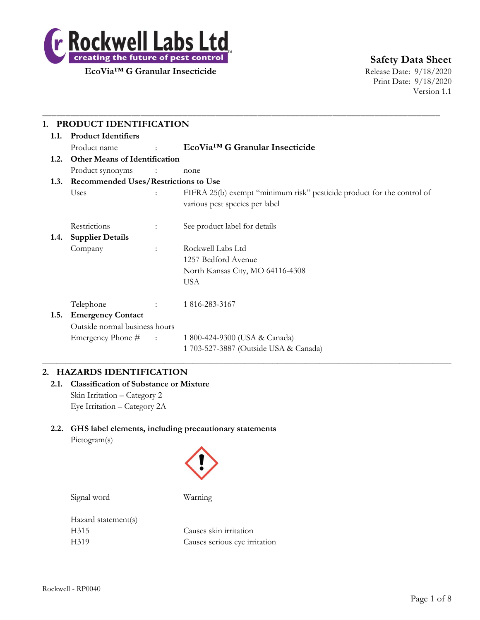

**Safety Data Sheet**

Print Date: 9/18/2020 Version 1.1

| 1.1. | <b>Product Identifiers</b>                  |                                   |                                                                                                          |  |  |
|------|---------------------------------------------|-----------------------------------|----------------------------------------------------------------------------------------------------------|--|--|
|      | Product name                                | $\pm$ 100 km s $^{-1}$            | EcoVia <sup>™</sup> G Granular Insecticide                                                               |  |  |
| 1.2. | <b>Other Means of Identification</b>        |                                   |                                                                                                          |  |  |
|      | Product synonyms                            | $\sim 10^{11}$ MeV $\sim 10^{11}$ | none                                                                                                     |  |  |
| 1.3. | <b>Recommended Uses/Restrictions to Use</b> |                                   |                                                                                                          |  |  |
|      | Uses                                        |                                   | FIFRA 25(b) exempt "minimum risk" pesticide product for the control of<br>various pest species per label |  |  |
|      | Restrictions                                | $\ddot{\phantom{a}}$              | See product label for details                                                                            |  |  |
| 1.4. | <b>Supplier Details</b>                     |                                   |                                                                                                          |  |  |
|      | Company                                     | $\ddot{\phantom{a}}$              | Rockwell Labs Ltd                                                                                        |  |  |
|      |                                             |                                   | 1257 Bedford Avenue                                                                                      |  |  |
|      |                                             |                                   | North Kansas City, MO 64116-4308                                                                         |  |  |
|      |                                             |                                   | <b>USA</b>                                                                                               |  |  |
|      | Telephone                                   | $\mathbb{R}^{\mathbb{Z}}$         | 1 816-283-3167                                                                                           |  |  |
| 1.5. | <b>Emergency Contact</b>                    |                                   |                                                                                                          |  |  |
|      | Outside normal business hours               |                                   |                                                                                                          |  |  |
|      | Emergency Phone #                           | $\sim 10^{11}$ km $^{-1}$         | 1 800-424-9300 (USA & Canada)                                                                            |  |  |
|      |                                             |                                   | 1 703-527-3887 (Outside USA & Canada)                                                                    |  |  |

# **2. HAZARDS IDENTIFICATION**

**2.1. Classification of Substance or Mixture** Skin Irritation – Category 2 Eye Irritation – Category 2A

# **2.2. GHS label elements, including precautionary statements** Pictogram(s)



Signal word Warning

Hazard statement(s)

H315 Causes skin irritation H319 Causes serious eye irritation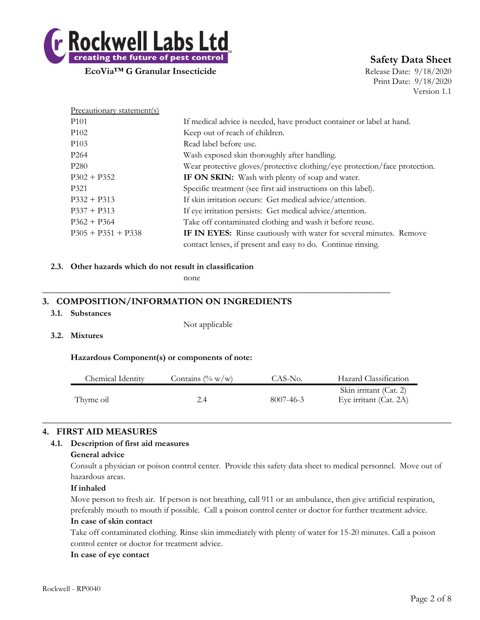

# **Safety Data Sheet**

Print Date: 9/18/2020 Version 1.1

| Precautionary statement(s) |                                                                            |
|----------------------------|----------------------------------------------------------------------------|
| P <sub>101</sub>           | If medical advice is needed, have product container or label at hand.      |
| P <sub>102</sub>           | Keep out of reach of children.                                             |
| P <sub>10</sub> 3          | Read label before use.                                                     |
| P <sub>264</sub>           | Wash exposed skin thoroughly after handling.                               |
| P <sub>280</sub>           | Wear protective gloves/protective clothing/eye protection/face protection. |
| $P302 + P352$              | IF ON SKIN: Wash with plenty of soap and water.                            |
| P <sub>321</sub>           | Specific treatment (see first aid instructions on this label).             |
| $P332 + P313$              | If skin irritation occurs: Get medical advice/attention.                   |
| $P337 + P313$              | If eye irritation persists: Get medical advice/attention.                  |
| $P362 + P364$              | Take off contaminated clothing and wash it before reuse.                   |
| $P305 + P351 + P338$       | IF IN EYES: Rinse cautiously with water for several minutes. Remove        |
|                            | contact lenses, if present and easy to do. Continue rinsing.               |

#### **2.3. Other hazards which do not result in classification**

none

# **3. COMPOSITION/INFORMATION ON INGREDIENTS**

#### **3.1. Substances**

Not applicable

**\_\_\_\_\_\_\_\_\_\_\_\_\_\_\_\_\_\_\_\_\_\_\_\_\_\_\_\_\_\_\_\_\_\_\_\_\_\_\_\_\_\_\_\_\_\_\_\_\_\_\_\_\_\_\_\_\_\_\_\_\_\_\_\_\_\_\_\_\_\_\_\_\_\_**

**3.2. Mixtures**

**Hazardous Component(s) or components of note:**

| Chemical Identity | Contains $(\% w/w)$ | CAS-No.   | Hazard Classification                            |
|-------------------|---------------------|-----------|--------------------------------------------------|
| Thyme oil         |                     | 8007-46-3 | Skin irritant (Cat. 2)<br>Eye irritant (Cat. 2A) |

 $\_$  , and the set of the set of the set of the set of the set of the set of the set of the set of the set of the set of the set of the set of the set of the set of the set of the set of the set of the set of the set of th

# **4. FIRST AID MEASURES**

# **4.1. Description of first aid measures**

#### **General advice**

Consult a physician or poison control center. Provide this safety data sheet to medical personnel. Move out of hazardous areas.

### **If inhaled**

Move person to fresh air. If person is not breathing, call 911 or an ambulance, then give artificial respiration, preferably mouth to mouth if possible. Call a poison control center or doctor for further treatment advice.

# **In case of skin contact**

Take off contaminated clothing. Rinse skin immediately with plenty of water for 15-20 minutes. Call a poison control center or doctor for treatment advice.

### **In case of eye contact**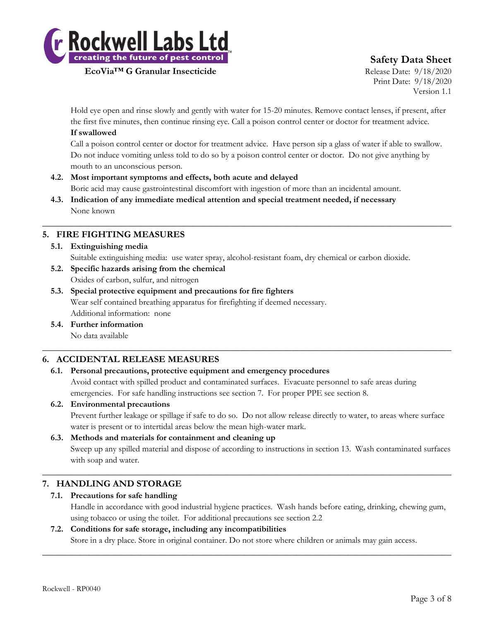

# **Safety Data Sheet**

Print Date: 9/18/2020 Version 1.1

Hold eye open and rinse slowly and gently with water for 15-20 minutes. Remove contact lenses, if present, after the first five minutes, then continue rinsing eye. Call a poison control center or doctor for treatment advice. **If swallowed**

Call a poison control center or doctor for treatment advice. Have person sip a glass of water if able to swallow. Do not induce vomiting unless told to do so by a poison control center or doctor. Do not give anything by mouth to an unconscious person.

- **4.2. Most important symptoms and effects, both acute and delayed** Boric acid may cause gastrointestinal discomfort with ingestion of more than an incidental amount.
- **4.3. Indication of any immediate medical attention and special treatment needed, if necessary** None known

# **5. FIRE FIGHTING MEASURES**

- **5.1. Extinguishing media**
	- Suitable extinguishing media: use water spray, alcohol-resistant foam, dry chemical or carbon dioxide.

 $\_$  , and the set of the set of the set of the set of the set of the set of the set of the set of the set of the set of the set of the set of the set of the set of the set of the set of the set of the set of the set of th

- **5.2. Specific hazards arising from the chemical** Oxides of carbon, sulfur, and nitrogen
- **5.3. Special protective equipment and precautions for fire fighters** Wear self contained breathing apparatus for firefighting if deemed necessary. Additional information: none
- **5.4. Further information**

No data available

# **6. ACCIDENTAL RELEASE MEASURES**

# **6.1. Personal precautions, protective equipment and emergency procedures**

Avoid contact with spilled product and contaminated surfaces. Evacuate personnel to safe areas during emergencies. For safe handling instructions see section 7. For proper PPE see section 8.

 $\_$  , and the set of the set of the set of the set of the set of the set of the set of the set of the set of the set of the set of the set of the set of the set of the set of the set of the set of the set of the set of th

### **6.2. Environmental precautions**

Prevent further leakage or spillage if safe to do so. Do not allow release directly to water, to areas where surface water is present or to intertidal areas below the mean high-water mark.

### **6.3. Methods and materials for containment and cleaning up**

Sweep up any spilled material and dispose of according to instructions in section 13. Wash contaminated surfaces with soap and water.

# **7. HANDLING AND STORAGE**

# **7.1. Precautions for safe handling**

Handle in accordance with good industrial hygiene practices. Wash hands before eating, drinking, chewing gum, using tobacco or using the toilet. For additional precautions see section 2.2

# **7.2. Conditions for safe storage, including any incompatibilities**

Store in a dry place. Store in original container. Do not store where children or animals may gain access.  $\_$  , and the set of the set of the set of the set of the set of the set of the set of the set of the set of the set of the set of the set of the set of the set of the set of the set of the set of the set of the set of th

 $\_$  , and the set of the set of the set of the set of the set of the set of the set of the set of the set of the set of the set of the set of the set of the set of the set of the set of the set of the set of the set of th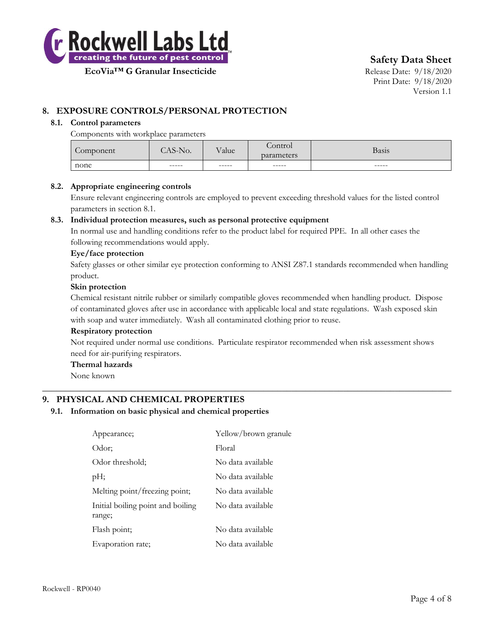

**Safety Data Sheet**

**EcoVia™ G Granular Insecticide** Release Date: 9/18/2020

Print Date: 9/18/2020 Version 1.1

# **8. EXPOSURE CONTROLS/PERSONAL PROTECTION**

#### **8.1. Control parameters**

Components with workplace parameters

| none      | $- - - - -$    | $- - - - -$ |                       | -----        |
|-----------|----------------|-------------|-----------------------|--------------|
|           | $\Delta$ S-No. | Value       | parameters            | <b>Basis</b> |
| Component |                |             | $\sqrt{2}$<br>Control |              |

#### **8.2. Appropriate engineering controls**

Ensure relevant engineering controls are employed to prevent exceeding threshold values for the listed control parameters in section 8.1.

#### **8.3. Individual protection measures, such as personal protective equipment**

In normal use and handling conditions refer to the product label for required PPE. In all other cases the following recommendations would apply.

#### **Eye/face protection**

Safety glasses or other similar eye protection conforming to ANSI Z87.1 standards recommended when handling product.

#### **Skin protection**

Chemical resistant nitrile rubber or similarly compatible gloves recommended when handling product. Dispose of contaminated gloves after use in accordance with applicable local and state regulations. Wash exposed skin with soap and water immediately. Wash all contaminated clothing prior to reuse.

#### **Respiratory protection**

Not required under normal use conditions. Particulate respirator recommended when risk assessment shows need for air-purifying respirators.

 $\_$  , and the set of the set of the set of the set of the set of the set of the set of the set of the set of the set of the set of the set of the set of the set of the set of the set of the set of the set of the set of th

#### **Thermal hazards**

None known

# **9. PHYSICAL AND CHEMICAL PROPERTIES**

#### **9.1. Information on basic physical and chemical properties**

| Appearance;                                 | Yellow/brown granule |
|---------------------------------------------|----------------------|
| Odor;                                       | Floral               |
| Odor threshold;                             | No data available    |
| pH;                                         | No data available    |
| Melting point/freezing point;               | No data available    |
| Initial boiling point and boiling<br>range; | No data available    |
| Flash point;                                | No data available    |
| Evaporation rate;                           | No data available    |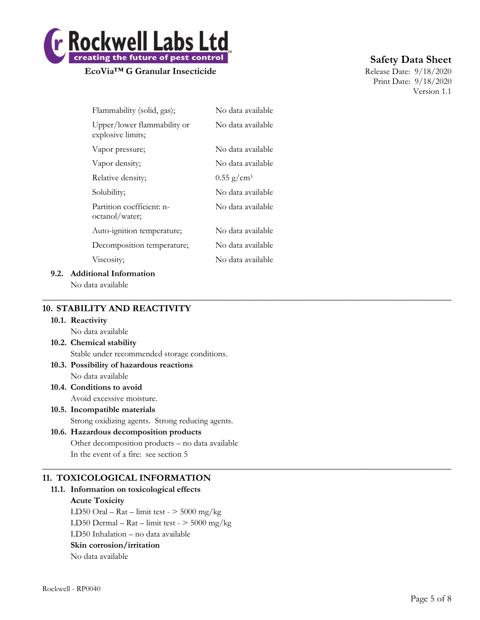

# **Safety Data Sheet**

Print Date: 9/18/2020 Version 1.1

| Flammability (solid, gas);                       | No data available        |
|--------------------------------------------------|--------------------------|
| Upper/lower flammability or<br>explosive limits; | No data available        |
| Vapor pressure;                                  | No data available        |
| Vapor density;                                   | No data available        |
| Relative density;                                | $0.55$ g/cm <sup>3</sup> |
| Solubility;                                      | No data available        |
| Partition coefficient: n-<br>octanol/water;      | No data available        |
| Auto-ignition temperature;                       | No data available        |
| Decomposition temperature;                       | No data available        |
| Viscosity;                                       | No data available        |
|                                                  |                          |

 $\_$  , and the set of the set of the set of the set of the set of the set of the set of the set of the set of the set of the set of the set of the set of the set of the set of the set of the set of the set of the set of th

 $\_$  , and the set of the set of the set of the set of the set of the set of the set of the set of the set of the set of the set of the set of the set of the set of the set of the set of the set of the set of the set of th

# **9.2. Additional Information**

No data available

# **10. STABILITY AND REACTIVITY**

#### **10.1. Reactivity**

No data available

- **10.2. Chemical stability** Stable under recommended storage conditions.
- **10.3. Possibility of hazardous reactions** No data available
- **10.4. Conditions to avoid** Avoid excessive moisture.
- **10.5. Incompatible materials** Strong oxidizing agents. Strong reducing agents.

# **10.6. Hazardous decomposition products** Other decomposition products – no data available In the event of a fire: see section 5

# **11. TOXICOLOGICAL INFORMATION**

**11.1. Information on toxicological effects Acute Toxicity** LD50 Oral – Rat – limit test -  $>$  5000 mg/kg LD50 Dermal – Rat – limit test -  $>$  5000 mg/kg LD50 Inhalation – no data available **Skin corrosion/irritation** No data available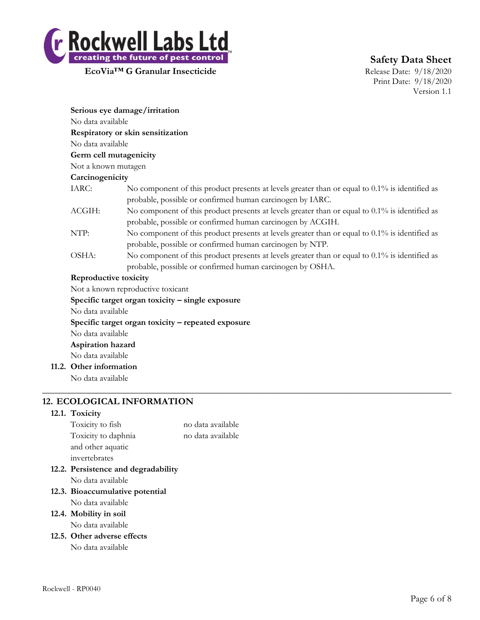

Print Date: 9/18/2020 Version 1.1

| Serious eye damage/irritation                      |                                                                                                                                                                |  |  |  |
|----------------------------------------------------|----------------------------------------------------------------------------------------------------------------------------------------------------------------|--|--|--|
| No data available                                  |                                                                                                                                                                |  |  |  |
|                                                    | Respiratory or skin sensitization                                                                                                                              |  |  |  |
| No data available                                  |                                                                                                                                                                |  |  |  |
| Germ cell mutagenicity                             |                                                                                                                                                                |  |  |  |
| Not a known mutagen                                |                                                                                                                                                                |  |  |  |
| Carcinogenicity                                    |                                                                                                                                                                |  |  |  |
| IARC:                                              | No component of this product presents at levels greater than or equal to $0.1\%$ is identified as<br>probable, possible or confirmed human carcinogen by IARC. |  |  |  |
| ACGIH:                                             | No component of this product presents at levels greater than or equal to 0.1% is identified as<br>probable, possible or confirmed human carcinogen by ACGIH.   |  |  |  |
| NTP:                                               | No component of this product presents at levels greater than or equal to 0.1% is identified as<br>probable, possible or confirmed human carcinogen by NTP.     |  |  |  |
| OSHA:                                              | No component of this product presents at levels greater than or equal to $0.1\%$ is identified as<br>probable, possible or confirmed human carcinogen by OSHA. |  |  |  |
| Reproductive toxicity                              |                                                                                                                                                                |  |  |  |
|                                                    | Not a known reproductive toxicant                                                                                                                              |  |  |  |
| Specific target organ toxicity – single exposure   |                                                                                                                                                                |  |  |  |
| No data available                                  |                                                                                                                                                                |  |  |  |
| Specific target organ toxicity - repeated exposure |                                                                                                                                                                |  |  |  |
| No data available                                  |                                                                                                                                                                |  |  |  |
| Aspiration hazard                                  |                                                                                                                                                                |  |  |  |
| No data available                                  |                                                                                                                                                                |  |  |  |
| 11.2. Other information                            |                                                                                                                                                                |  |  |  |

 $\_$  , and the set of the set of the set of the set of the set of the set of the set of the set of the set of the set of the set of the set of the set of the set of the set of the set of the set of the set of the set of th

No data available

# **12. ECOLOGICAL INFORMATION**

#### **12.1. Toxicity**

| invertebrates<br>12.2. Persistence and degradability |                   |
|------------------------------------------------------|-------------------|
| and other aquatic                                    |                   |
| Toxicity to daphnia                                  | no data available |
| Toxicity to fish                                     | no data available |

No data available

- **12.3. Bioaccumulative potential** No data available
- **12.4. Mobility in soil**

No data available

**12.5. Other adverse effects**

No data available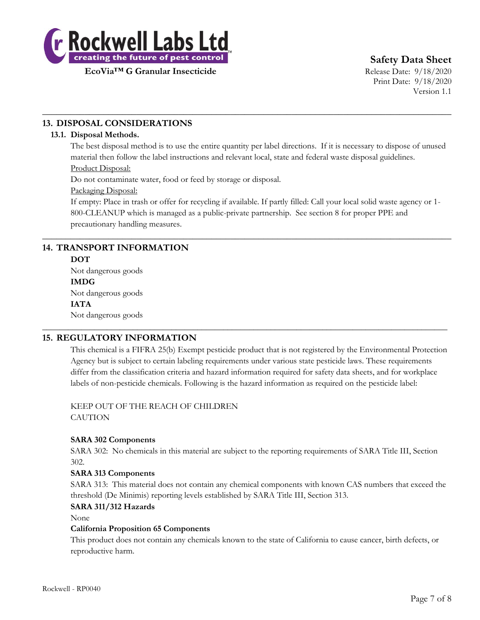

**Safety Data Sheet**

Print Date: 9/18/2020 Version 1.1

# **13. DISPOSAL CONSIDERATIONS**

# **13.1. Disposal Methods.**

The best disposal method is to use the entire quantity per label directions. If it is necessary to dispose of unused material then follow the label instructions and relevant local, state and federal waste disposal guidelines. Product Disposal:

 $\_$  , and the set of the set of the set of the set of the set of the set of the set of the set of the set of the set of the set of the set of the set of the set of the set of the set of the set of the set of the set of th

Do not contaminate water, food or feed by storage or disposal.

Packaging Disposal:

If empty: Place in trash or offer for recycling if available. If partly filled: Call your local solid waste agency or 1- 800-CLEANUP which is managed as a public-private partnership. See section 8 for proper PPE and precautionary handling measures.

 $\_$  , and the set of the set of the set of the set of the set of the set of the set of the set of the set of the set of the set of the set of the set of the set of the set of the set of the set of the set of the set of th

\_\_\_\_\_\_\_\_\_\_\_\_\_\_\_\_\_\_\_\_\_\_\_\_\_\_\_\_\_\_\_\_\_\_\_\_\_\_\_\_\_\_\_\_\_\_\_\_\_\_\_\_\_\_\_\_\_\_\_\_\_\_\_\_\_\_\_\_\_\_\_\_\_\_\_\_\_\_\_\_\_\_\_\_\_\_\_\_\_\_\_\_\_\_

# **14. TRANSPORT INFORMATION**

# **DOT**

Not dangerous goods **IMDG** Not dangerous goods **IATA** Not dangerous goods

# **15. REGULATORY INFORMATION**

This chemical is a FIFRA 25(b) Exempt pesticide product that is not registered by the Environmental Protection Agency but is subject to certain labeling requirements under various state pesticide laws. These requirements differ from the classification criteria and hazard information required for safety data sheets, and for workplace labels of non-pesticide chemicals. Following is the hazard information as required on the pesticide label:

KEEP OUT OF THE REACH OF CHILDREN **CAUTION** 

# **SARA 302 Components**

SARA 302: No chemicals in this material are subject to the reporting requirements of SARA Title III, Section 302.

### **SARA 313 Components**

SARA 313: This material does not contain any chemical components with known CAS numbers that exceed the threshold (De Minimis) reporting levels established by SARA Title III, Section 313.

### **SARA 311/312 Hazards**

None

### **California Proposition 65 Components**

This product does not contain any chemicals known to the state of California to cause cancer, birth defects, or reproductive harm.